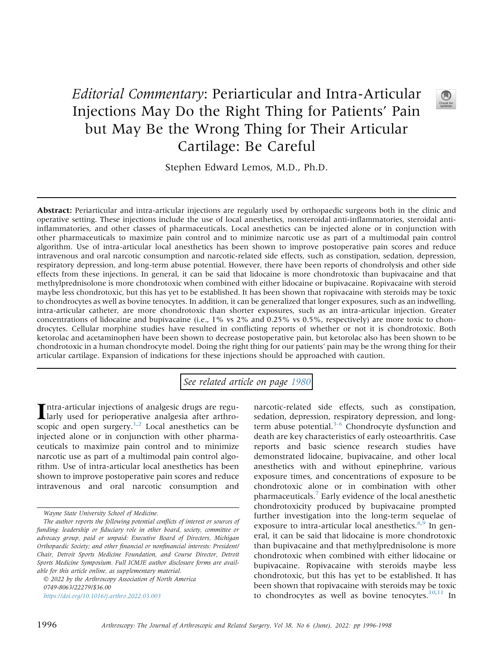## Editorial Commentary: Periarticular and Intra-Articular Injections May Do the Right Thing for Patients' Pain but May Be the Wrong Thing for Their Articular Cartilage: Be Careful



Stephen Edward Lemos, M.D., Ph.D.

Abstract: Periarticular and intra-articular injections are regularly used by orthopaedic surgeons both in the clinic and operative setting. These injections include the use of local anesthetics, nonsteroidal anti-inflammatories, steroidal antiinflammatories, and other classes of pharmaceuticals. Local anesthetics can be injected alone or in conjunction with other pharmaceuticals to maximize pain control and to minimize narcotic use as part of a multimodal pain control algorithm. Use of intra-articular local anesthetics has been shown to improve postoperative pain scores and reduce intravenous and oral narcotic consumption and narcotic-related side effects, such as constipation, sedation, depression, respiratory depression, and long-term abuse potential. However, there have been reports of chondrolysis and other side effects from these injections. In general, it can be said that lidocaine is more chondrotoxic than bupivacaine and that methylprednisolone is more chondrotoxic when combined with either lidocaine or bupivacaine. Ropivacaine with steroid maybe less chondrotoxic, but this has yet to be established. It has been shown that ropivacaine with steroids may be toxic to chondrocytes as well as bovine tenocytes. In addition, it can be generalized that longer exposures, such as an indwelling, intra-articular catheter, are more chondrotoxic than shorter exposures, such as an intra-articular injection. Greater concentrations of lidocaine and bupivacaine (i.e., 1% vs 2% and 0.25% vs 0.5%, respectively) are more toxic to chondrocytes. Cellular morphine studies have resulted in conflicting reports of whether or not it is chondrotoxic. Both ketorolac and acetaminophen have been shown to decrease postoperative pain, but ketorolac also has been shown to be chondrotoxic in a human chondrocyte model. Doing the right thing for our patients' pain may be the wrong thing for their articular cartilage. Expansion of indications for these injections should be approached with caution.

See related article on page [1980](http://www.arthroscopyjournal.org/article/S0749-8063(21)01110-5/abstract)

**Intra-articular injections of analgesic drugs are regularly used for perioperative analgesia after arthro**scopic and open surgery. $1,2$  $1,2$  Local anesthetics can be injected alone or in conjunction with other pharmaceuticals to maximize pain control and to minimize narcotic use as part of a multimodal pain control algorithm. Use of intra-articular local anesthetics has been shown to improve postoperative pain scores and reduce intravenous and oral narcotic consumption and

 2022 by the Arthroscopy Association of North America 0749-8063/22279/\$36.00 <https://doi.org/10.1016/j.arthro.2022.03.003>

narcotic-related side effects, such as constipation, sedation, depression, respiratory depression, and longterm abuse potential.<sup>3-6</sup> Chondrocyte dysfunction and death are key characteristics of early osteoarthritis. Case reports and basic science research studies have demonstrated lidocaine, bupivacaine, and other local anesthetics with and without epinephrine, various exposure times, and concentrations of exposure to be chondrotoxic alone or in combination with other pharmaceuticals.[7](#page-1-3) Early evidence of the local anesthetic chondrotoxicity produced by bupivacaine prompted further investigation into the long-term sequelae of exposure to intra-articular local anesthetics. $8,9$  $8,9$  In general, it can be said that lidocaine is more chondrotoxic than bupivacaine and that methylprednisolone is more chondrotoxic when combined with either lidocaine or bupivacaine. Ropivacaine with steroids maybe less chondrotoxic, but this has yet to be established. It has been shown that ropivacaine with steroids may be toxic to chondrocytes as well as bovine tenocytes. $10,11$  $10,11$  In

Wayne State University School of Medicine.

The author reports the following potential conflicts of interest or sources of funding: leadership or fiduciary role in other board, society, committee or advocacy group, paid or unpaid: Executive Board of Directors, Michigan Orthopaedic Society; and other financial or nonfinancial interests: President/ Chair, Detroit Sports Medicine Foundation, and Course Director, Detroit Sports Medicine Symposium. Full ICMJE author disclosure forms are available for this article online, as supplementary material.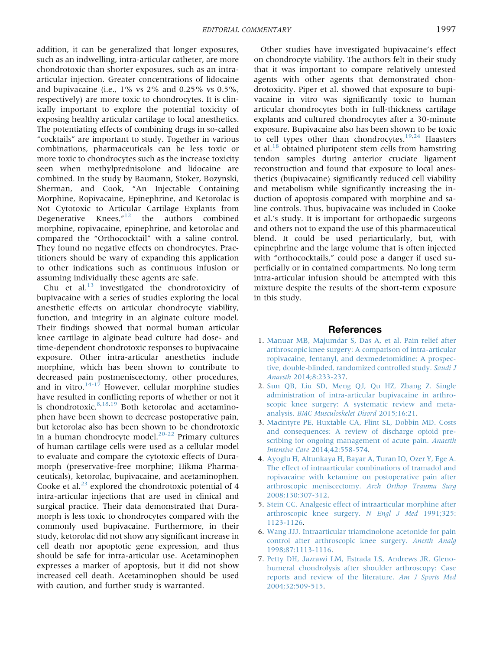addition, it can be generalized that longer exposures, such as an indwelling, intra-articular catheter, are more chondrotoxic than shorter exposures, such as an intraarticular injection. Greater concentrations of lidocaine and bupivacaine (i.e., 1% vs 2% and 0.25% vs 0.5%, respectively) are more toxic to chondrocytes. It is clinically important to explore the potential toxicity of exposing healthy articular cartilage to local anesthetics. The potentiating effects of combining drugs in so-called "cocktails" are important to study. Together in various combinations, pharmaceuticals can be less toxic or more toxic to chondrocytes such as the increase toxicity seen when methylprednisolone and lidocaine are combined. In the study by Baumann, Stoker, Bozynski, Sherman, and Cook, "An Injectable Containing Morphine, Ropivacaine, Epinephrine, and Ketorolac is Not Cytotoxic to Articular Cartilage Explants from Degenerative Knees," [12](#page-2-4) the authors combined morphine, ropivacaine, epinephrine, and ketorolac and compared the "Orthococktail" with a saline control. They found no negative effects on chondrocytes. Practitioners should be wary of expanding this application to other indications such as continuous infusion or assuming individually these agents are safe.

Chu et al.<sup>[13](#page-2-5)</sup> investigated the chondrotoxicity of bupivacaine with a series of studies exploring the local anesthetic effects on articular chondrocyte viability, function, and integrity in an alginate culture model. Their findings showed that normal human articular knee cartilage in alginate bead culture had dose- and time-dependent chondrotoxic responses to bupivacaine exposure. Other intra-articular anesthetics include morphine, which has been shown to contribute to decreased pain postmeniscectomy, other procedures, and in vitro. $14-17$  However, cellular morphine studies have resulted in conflicting reports of whether or not it is chondrotoxic. $8,18,19$  $8,18,19$  $8,18,19$  Both ketorolac and acetaminophen have been shown to decrease postoperative pain, but ketorolac also has been shown to be chondrotoxic in a human chondrocyte model.<sup>[20-22](#page-2-9)</sup> Primary cultures of human cartilage cells were used as a cellular model to evaluate and compare the cytotoxic effects of Duramorph (preservative-free morphine; Hikma Pharmaceuticals), ketorolac, bupivacaine, and acetaminophen. Cooke et al. $^{23}$  $^{23}$  $^{23}$  explored the chondrotoxic potential of 4 intra-articular injections that are used in clinical and surgical practice. Their data demonstrated that Duramorph is less toxic to chondrocytes compared with the commonly used bupivacaine. Furthermore, in their study, ketorolac did not show any significant increase in cell death nor apoptotic gene expression, and thus should be safe for intra-articular use. Acetaminophen expresses a marker of apoptosis, but it did not show increased cell death. Acetaminophen should be used with caution, and further study is warranted.

Other studies have investigated bupivacaine's effect on chondrocyte viability. The authors felt in their study that it was important to compare relatively untested agents with other agents that demonstrated chondrotoxicity. Piper et al. showed that exposure to bupivacaine in vitro was significantly toxic to human articular chondrocytes both in full-thickness cartilage explants and cultured chondrocytes after a 30-minute exposure. Bupivacaine also has been shown to be toxic to cell types other than chondrocytes. $19,24$  $19,24$  Haasters et al. $^{18}$  $^{18}$  $^{18}$  obtained pluripotent stem cells from hamstring tendon samples during anterior cruciate ligament reconstruction and found that exposure to local anesthetics (bupivacaine) significantly reduced cell viability and metabolism while significantly increasing the induction of apoptosis compared with morphine and saline controls. Thus, bupivacaine was included in Cooke et al.'s study. It is important for orthopaedic surgeons and others not to expand the use of this pharmaceutical blend. It could be used periarticularly, but, with epinephrine and the large volume that is often injected with "orthococktails," could pose a danger if used superficially or in contained compartments. No long term intra-articular infusion should be attempted with this mixture despite the results of the short-term exposure in this study.

## References

- <span id="page-1-0"></span>1. [Manuar MB, Majumdar S, Das A, et al. Pain relief after](http://refhub.elsevier.com/S0749-8063(22)00148-7/sref1) [arthroscopic knee surgery: A comparison of intra-articular](http://refhub.elsevier.com/S0749-8063(22)00148-7/sref1) [ropivacaine, fentanyl, and dexmedetomidine: A prospec](http://refhub.elsevier.com/S0749-8063(22)00148-7/sref1)[tive, double-blinded, randomized controlled study.](http://refhub.elsevier.com/S0749-8063(22)00148-7/sref1) Saudi J Anaesth [2014;8:233-237.](http://refhub.elsevier.com/S0749-8063(22)00148-7/sref1)
- <span id="page-1-1"></span>2. [Sun QB, Liu SD, Meng QJ, Qu HZ, Zhang Z. Single](http://refhub.elsevier.com/S0749-8063(22)00148-7/sref2) [administration of intra-articular bupivacaine in arthro](http://refhub.elsevier.com/S0749-8063(22)00148-7/sref2)[scopic knee surgery: A systematic review and meta](http://refhub.elsevier.com/S0749-8063(22)00148-7/sref2)analysis. [BMC Musculoskelet Disord](http://refhub.elsevier.com/S0749-8063(22)00148-7/sref2) 2015;16:21.
- <span id="page-1-2"></span>3. [Macintyre PE, Huxtable CA, Flint SL, Dobbin MD. Costs](http://refhub.elsevier.com/S0749-8063(22)00148-7/sref3) [and consequences: A review of discharge opioid pre](http://refhub.elsevier.com/S0749-8063(22)00148-7/sref3)[scribing for ongoing management of acute pain.](http://refhub.elsevier.com/S0749-8063(22)00148-7/sref3) Anaesth Intensive Care [2014;42:558-574](http://refhub.elsevier.com/S0749-8063(22)00148-7/sref3).
- 4. [Ayoglu H, Altunkaya H, Bayar A, Turan IO, Ozer Y, Ege A.](http://refhub.elsevier.com/S0749-8063(22)00148-7/sref4) [The effect of intraarticular combinations of tramadol and](http://refhub.elsevier.com/S0749-8063(22)00148-7/sref4) [ropivacaine with ketamine on postoperative pain after](http://refhub.elsevier.com/S0749-8063(22)00148-7/sref4) [arthroscopic meniscectomy.](http://refhub.elsevier.com/S0749-8063(22)00148-7/sref4) Arch Orthop Trauma Surg [2008;130:307-312](http://refhub.elsevier.com/S0749-8063(22)00148-7/sref4).
- 5. [Stein CC. Analgesic effect of intraarticular morphine after](http://refhub.elsevier.com/S0749-8063(22)00148-7/sref5) [arthroscopic knee surgery.](http://refhub.elsevier.com/S0749-8063(22)00148-7/sref5) N Engl J Med 1991;325: [1123-1126.](http://refhub.elsevier.com/S0749-8063(22)00148-7/sref5)
- 6. [Wang JJJ. Intraarticular triamcinolone acetonide for pain](http://refhub.elsevier.com/S0749-8063(22)00148-7/sref6) [control after arthroscopic knee surgery.](http://refhub.elsevier.com/S0749-8063(22)00148-7/sref6) Anesth Analg [1998;87:1113-1116](http://refhub.elsevier.com/S0749-8063(22)00148-7/sref6).
- <span id="page-1-3"></span>7. [Petty DH, Jazrawi LM, Estrada LS, Andrews JR. Gleno](http://refhub.elsevier.com/S0749-8063(22)00148-7/sref7)[humeral chondrolysis after shoulder arthroscopy: Case](http://refhub.elsevier.com/S0749-8063(22)00148-7/sref7) [reports and review of the literature.](http://refhub.elsevier.com/S0749-8063(22)00148-7/sref7) Am J Sports Med [2004;32:509-515](http://refhub.elsevier.com/S0749-8063(22)00148-7/sref7).